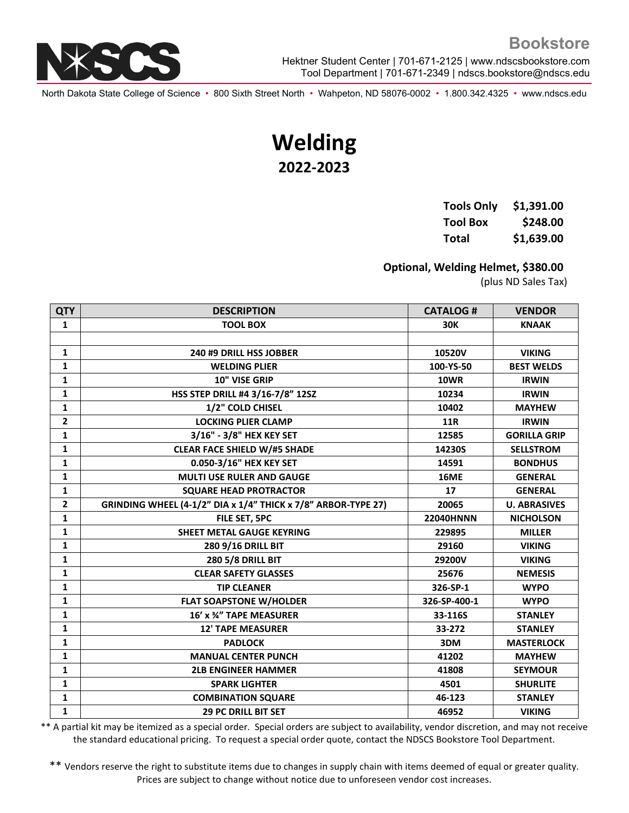North Dakota State College of Science • 800 Sixth Street North • Wahpeton, ND 58076-0002 • 1.800.342.4325 • www.ndscs.edu

## **Welding 2022-2023**

| <b>Tools Only</b> | \$1,391.00 |
|-------------------|------------|
| <b>Tool Box</b>   | \$248.00   |
| Total             | \$1,639.00 |

## **Optional, Welding Helmet, \$380.00**

(plus ND Sales Tax)

| <b>QTY</b>   | <b>DESCRIPTION</b>                                            | <b>CATALOG#</b>  | <b>VENDOR</b>       |
|--------------|---------------------------------------------------------------|------------------|---------------------|
| $\mathbf{1}$ | <b>TOOL BOX</b>                                               | <b>30K</b>       | <b>KNAAK</b>        |
|              |                                                               |                  |                     |
| $\mathbf{1}$ | 240 #9 DRILL HSS JOBBER                                       | 10520V           | <b>VIKING</b>       |
| 1            | <b>WELDING PLIER</b>                                          | 100-YS-50        | <b>BEST WELDS</b>   |
| $\mathbf{1}$ | 10" VISE GRIP                                                 | <b>10WR</b>      | <b>IRWIN</b>        |
| 1            | HSS STEP DRILL #4 3/16-7/8" 12SZ                              | 10234            | <b>IRWIN</b>        |
| $\mathbf{1}$ | 1/2" COLD CHISEL                                              | 10402            | <b>MAYHEW</b>       |
| 2            | <b>LOCKING PLIER CLAMP</b>                                    | <b>11R</b>       | <b>IRWIN</b>        |
| $\mathbf{1}$ | 3/16" - 3/8" HEX KEY SET                                      | 12585            | <b>GORILLA GRIP</b> |
| $\mathbf{1}$ | <b>CLEAR FACE SHIELD W/#5 SHADE</b>                           | 14230S           | <b>SELLSTROM</b>    |
| $\mathbf{1}$ | 0.050-3/16" HEX KEY SET                                       | 14591            | <b>BONDHUS</b>      |
| $\mathbf{1}$ | <b>MULTI USE RULER AND GAUGE</b>                              | <b>16ME</b>      | <b>GENERAL</b>      |
| $\mathbf{1}$ | <b>SQUARE HEAD PROTRACTOR</b>                                 | 17               | <b>GENERAL</b>      |
| 2            | GRINDING WHEEL (4-1/2" DIA x 1/4" THICK x 7/8" ARBOR-TYPE 27) | 20065            | <b>U. ABRASIVES</b> |
| 1            | <b>FILE SET. 5PC</b>                                          | <b>22040HNNN</b> | <b>NICHOLSON</b>    |
| 1            | <b>SHEET METAL GAUGE KEYRING</b>                              | 229895           | <b>MILLER</b>       |
| 1            | <b>280 9/16 DRILL BIT</b>                                     | 29160            | <b>VIKING</b>       |
| 1            | <b>280 5/8 DRILL BIT</b>                                      | 29200V           | <b>VIKING</b>       |
| 1            | <b>CLEAR SAFETY GLASSES</b>                                   | 25676            | <b>NEMESIS</b>      |
| 1            | <b>TIP CLEANER</b>                                            | 326-SP-1         | <b>WYPO</b>         |
| 1            | <b>FLAT SOAPSTONE W/HOLDER</b>                                | 326-SP-400-1     | <b>WYPO</b>         |
| 1            | 16' x %" TAPE MEASURER                                        | 33-116S          | <b>STANLEY</b>      |
| 1            | <b>12' TAPE MEASURER</b>                                      | 33-272           | <b>STANLEY</b>      |
| 1            | <b>PADLOCK</b>                                                | 3DM              | <b>MASTERLOCK</b>   |
| $\mathbf{1}$ | <b>MANUAL CENTER PUNCH</b>                                    | 41202            | <b>MAYHEW</b>       |
| $\mathbf{1}$ | <b>2LB ENGINEER HAMMER</b>                                    | 41808            | <b>SEYMOUR</b>      |
| $\mathbf{1}$ | <b>SPARK LIGHTER</b>                                          | 4501             | <b>SHURLITE</b>     |
| 1            | <b>COMBINATION SQUARE</b>                                     | 46-123           | <b>STANLEY</b>      |
| $\mathbf{1}$ | <b>29 PC DRILL BIT SET</b>                                    | 46952            | <b>VIKING</b>       |

\*\* A partial kit may be itemized as a special order. Special orders are subject to availability, vendor discretion, and may not receive the standard educational pricing. To request a special order quote, contact the NDSCS Bookstore Tool Department.

\*\* Vendors reserve the right to substitute items due to changes in supply chain with items deemed of equal or greater quality. Prices are subject to change without notice due to unforeseen vendor cost increases.